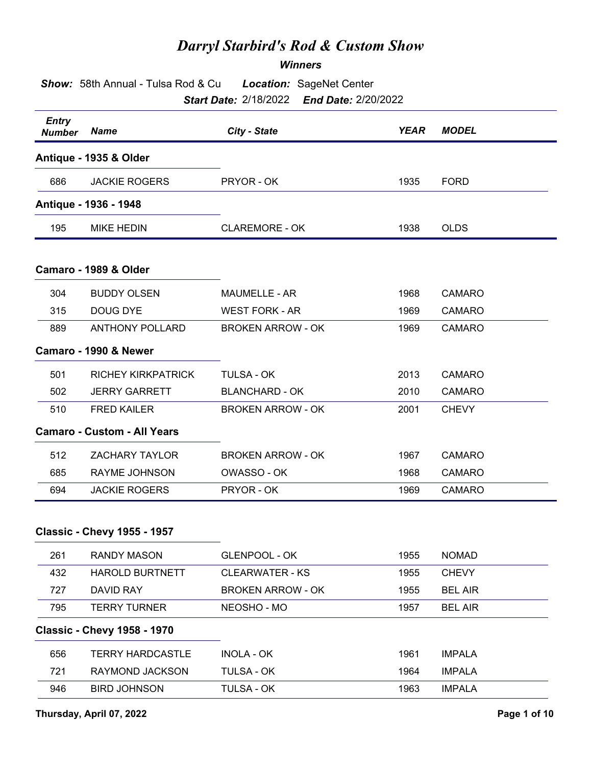## *Darryl Starbird's Rod & Custom Show*

## *Winners*

| Show: 58th Annual - Tulsa Rod & Cu<br><b>Location: SageNet Center</b><br><b>Start Date: 2/18/2022</b><br><b>End Date: 2/20/2022</b> |                                    |                          |             |               |
|-------------------------------------------------------------------------------------------------------------------------------------|------------------------------------|--------------------------|-------------|---------------|
| <b>Entry</b><br><b>Number</b>                                                                                                       | <b>Name</b>                        | City - State             | <b>YEAR</b> | <b>MODEL</b>  |
|                                                                                                                                     | Antique - 1935 & Older             |                          |             |               |
| 686                                                                                                                                 | <b>JACKIE ROGERS</b>               | PRYOR - OK               | 1935        | <b>FORD</b>   |
|                                                                                                                                     | Antique - 1936 - 1948              |                          |             |               |
| 195                                                                                                                                 | <b>MIKE HEDIN</b>                  | <b>CLAREMORE - OK</b>    | 1938        | <b>OLDS</b>   |
|                                                                                                                                     | Camaro - 1989 & Older              |                          |             |               |
| 304                                                                                                                                 | <b>BUDDY OLSEN</b>                 | <b>MAUMELLE - AR</b>     | 1968        | CAMARO        |
| 315                                                                                                                                 | DOUG DYE                           | <b>WEST FORK - AR</b>    | 1969        | <b>CAMARO</b> |
| 889                                                                                                                                 | <b>ANTHONY POLLARD</b>             | <b>BROKEN ARROW - OK</b> | 1969        | <b>CAMARO</b> |
|                                                                                                                                     | Camaro - 1990 & Newer              |                          |             |               |
| 501                                                                                                                                 | <b>RICHEY KIRKPATRICK</b>          | <b>TULSA - OK</b>        | 2013        | <b>CAMARO</b> |
| 502                                                                                                                                 | <b>JERRY GARRETT</b>               | <b>BLANCHARD - OK</b>    | 2010        | <b>CAMARO</b> |
| 510                                                                                                                                 | <b>FRED KAILER</b>                 | <b>BROKEN ARROW - OK</b> | 2001        | <b>CHEVY</b>  |
|                                                                                                                                     | <b>Camaro - Custom - All Years</b> |                          |             |               |
| 512                                                                                                                                 | <b>ZACHARY TAYLOR</b>              | <b>BROKEN ARROW - OK</b> | 1967        | <b>CAMARO</b> |
| 685                                                                                                                                 | RAYME JOHNSON                      | OWASSO - OK              | 1968        | <b>CAMARO</b> |
| 694                                                                                                                                 | <b>JACKIE ROGERS</b>               | PRYOR - OK               | 1969        | <b>CAMARO</b> |

## **Classic - Chevy 1955 - 1957**

| 261 | RANDY MASON                        | <b>GLENPOOL - OK</b>     | 1955 | <b>NOMAD</b>   |
|-----|------------------------------------|--------------------------|------|----------------|
| 432 | <b>HAROLD BURTNETT</b>             | CLEARWATER - KS          | 1955 | <b>CHEVY</b>   |
| 727 | DAVID RAY                          | <b>BROKEN ARROW - OK</b> | 1955 | <b>BEL AIR</b> |
| 795 | <b>TERRY TURNER</b>                | NEOSHO - MO              | 1957 | <b>BEL AIR</b> |
|     |                                    |                          |      |                |
|     | <b>Classic - Chevy 1958 - 1970</b> |                          |      |                |
| 656 | TERRY HARDCASTLE                   | INOLA - OK               | 1961 | <b>IMPALA</b>  |
| 721 | RAYMOND JACKSON                    | TULSA - OK               | 1964 | <b>IMPALA</b>  |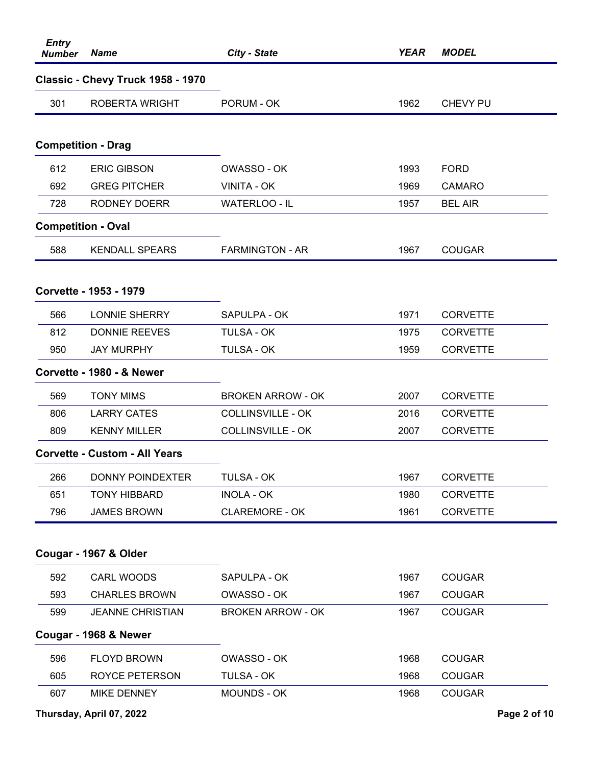| <b>Entry</b><br><b>Number</b> | <b>Name</b>                          | City - State             | <b>YEAR</b> | <b>MODEL</b>    |
|-------------------------------|--------------------------------------|--------------------------|-------------|-----------------|
|                               | Classic - Chevy Truck 1958 - 1970    |                          |             |                 |
| 301                           | ROBERTA WRIGHT                       | PORUM - OK               | 1962        | CHEVY PU        |
|                               |                                      |                          |             |                 |
|                               | <b>Competition - Drag</b>            |                          |             |                 |
| 612                           | <b>ERIC GIBSON</b>                   | OWASSO - OK              | 1993        | <b>FORD</b>     |
| 692                           | <b>GREG PITCHER</b>                  | VINITA - OK              | 1969        | <b>CAMARO</b>   |
| 728                           | <b>RODNEY DOERR</b>                  | WATERLOO - IL            | 1957        | <b>BEL AIR</b>  |
| <b>Competition - Oval</b>     |                                      |                          |             |                 |
| 588                           | <b>KENDALL SPEARS</b>                | <b>FARMINGTON - AR</b>   | 1967        | <b>COUGAR</b>   |
|                               | Corvette - 1953 - 1979               |                          |             |                 |
| 566                           | <b>LONNIE SHERRY</b>                 | SAPULPA - OK             | 1971        | <b>CORVETTE</b> |
| 812                           | <b>DONNIE REEVES</b>                 | TULSA - OK               | 1975        | <b>CORVETTE</b> |
| 950                           | <b>JAY MURPHY</b>                    | TULSA - OK               | 1959        | <b>CORVETTE</b> |
|                               | Corvette - 1980 - & Newer            |                          |             |                 |
| 569                           | <b>TONY MIMS</b>                     | <b>BROKEN ARROW - OK</b> | 2007        | <b>CORVETTE</b> |
| 806                           | <b>LARRY CATES</b>                   | <b>COLLINSVILLE - OK</b> | 2016        | <b>CORVETTE</b> |
| 809                           | <b>KENNY MILLER</b>                  | <b>COLLINSVILLE - OK</b> | 2007        | <b>CORVETTE</b> |
|                               | <b>Corvette - Custom - All Years</b> |                          |             |                 |
| 266                           | <b>DONNY POINDEXTER</b>              | <b>TULSA - OK</b>        | 1967        | <b>CORVETTE</b> |
| 651                           | <b>TONY HIBBARD</b>                  | <b>INOLA - OK</b>        | 1980        | <b>CORVETTE</b> |
| 796                           | <b>JAMES BROWN</b>                   | <b>CLAREMORE - OK</b>    | 1961        | <b>CORVETTE</b> |
|                               |                                      |                          |             |                 |
|                               | Cougar - 1967 & Older                |                          |             |                 |
| 592                           | CARL WOODS                           | SAPULPA - OK             | 1967        | <b>COUGAR</b>   |
| 593                           | <b>CHARLES BROWN</b>                 | OWASSO - OK              | 1967        | <b>COUGAR</b>   |
| 599                           | <b>JEANNE CHRISTIAN</b>              | <b>BROKEN ARROW - OK</b> | 1967        | <b>COUGAR</b>   |
|                               | Cougar - 1968 & Newer                |                          |             |                 |
| 596                           | <b>FLOYD BROWN</b>                   | OWASSO - OK              | 1968        | <b>COUGAR</b>   |
| 605                           | <b>ROYCE PETERSON</b>                | TULSA - OK               | 1968        | <b>COUGAR</b>   |
| 607                           | <b>MIKE DENNEY</b>                   | MOUNDS - OK              | 1968        | <b>COUGAR</b>   |
|                               | Thursday, April 07, 2022             |                          |             | Page 2 of 10    |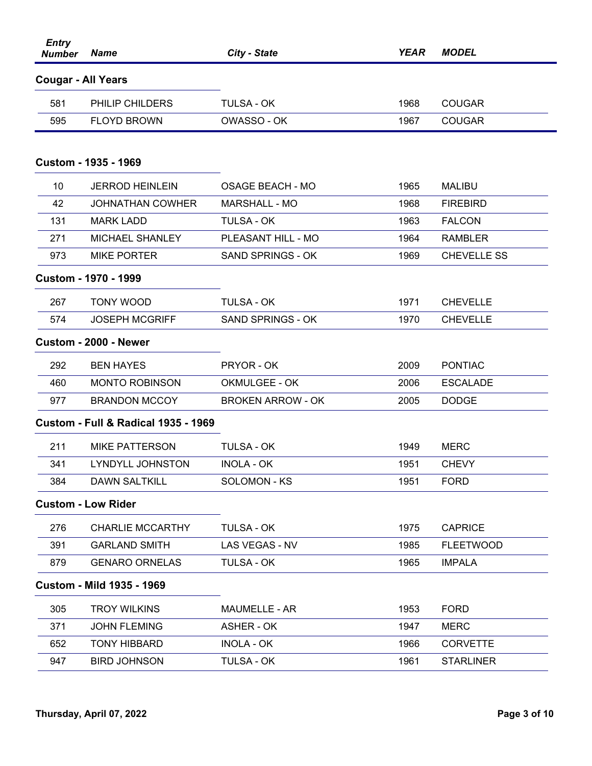| <b>Entry</b><br><b>Number</b> | <b>Name</b>                                    | City - State             | <b>YEAR</b> | <b>MODEL</b>       |
|-------------------------------|------------------------------------------------|--------------------------|-------------|--------------------|
| <b>Cougar - All Years</b>     |                                                |                          |             |                    |
| 581                           | <b>PHILIP CHILDERS</b>                         | <b>TULSA - OK</b>        | 1968        | <b>COUGAR</b>      |
| 595                           | <b>FLOYD BROWN</b>                             | OWASSO - OK              | 1967        | <b>COUGAR</b>      |
|                               | Custom - 1935 - 1969                           |                          |             |                    |
| 10                            | <b>JERROD HEINLEIN</b>                         | <b>OSAGE BEACH - MO</b>  | 1965        | <b>MALIBU</b>      |
| 42                            | <b>JOHNATHAN COWHER</b>                        | <b>MARSHALL - MO</b>     | 1968        | <b>FIREBIRD</b>    |
| 131                           | <b>MARK LADD</b>                               | <b>TULSA - OK</b>        | 1963        | <b>FALCON</b>      |
| 271                           | <b>MICHAEL SHANLEY</b>                         | PLEASANT HILL - MO       | 1964        | <b>RAMBLER</b>     |
| 973                           | <b>MIKE PORTER</b>                             | <b>SAND SPRINGS - OK</b> | 1969        | <b>CHEVELLE SS</b> |
|                               | <b>Custom - 1970 - 1999</b>                    |                          |             |                    |
| 267                           | <b>TONY WOOD</b>                               | <b>TULSA - OK</b>        | 1971        | <b>CHEVELLE</b>    |
| 574                           | <b>JOSEPH MCGRIFF</b>                          | <b>SAND SPRINGS - OK</b> | 1970        | <b>CHEVELLE</b>    |
|                               | Custom - 2000 - Newer                          |                          |             |                    |
| 292                           | <b>BEN HAYES</b>                               | PRYOR - OK               | 2009        | <b>PONTIAC</b>     |
| 460                           | <b>MONTO ROBINSON</b>                          | OKMULGEE - OK            | 2006        | <b>ESCALADE</b>    |
| 977                           | <b>BRANDON MCCOY</b>                           | <b>BROKEN ARROW - OK</b> | 2005        | <b>DODGE</b>       |
|                               | <b>Custom - Full &amp; Radical 1935 - 1969</b> |                          |             |                    |
| 211                           | <b>MIKE PATTERSON</b>                          | <b>TULSA - OK</b>        | 1949        | <b>MERC</b>        |
| 341                           | LYNDYLL JOHNSTON                               | <b>INOLA - OK</b>        | 1951        | <b>CHEVY</b>       |
| 384                           | <b>DAWN SALTKILL</b>                           | SOLOMON - KS             | 1951        | <b>FORD</b>        |
|                               | <b>Custom - Low Rider</b>                      |                          |             |                    |
| 276                           | <b>CHARLIE MCCARTHY</b>                        | <b>TULSA - OK</b>        | 1975        | <b>CAPRICE</b>     |
| 391                           | <b>GARLAND SMITH</b>                           | LAS VEGAS - NV           | 1985        | <b>FLEETWOOD</b>   |
| 879                           | <b>GENARO ORNELAS</b>                          | <b>TULSA - OK</b>        | 1965        | <b>IMPALA</b>      |
|                               | <b>Custom - Mild 1935 - 1969</b>               |                          |             |                    |
| 305                           | <b>TROY WILKINS</b>                            | <b>MAUMELLE - AR</b>     | 1953        | <b>FORD</b>        |
| 371                           | <b>JOHN FLEMING</b>                            | ASHER - OK               | 1947        | <b>MERC</b>        |
| 652                           | <b>TONY HIBBARD</b>                            | <b>INOLA - OK</b>        | 1966        | <b>CORVETTE</b>    |
| 947                           | <b>BIRD JOHNSON</b>                            | TULSA - OK               | 1961        | <b>STARLINER</b>   |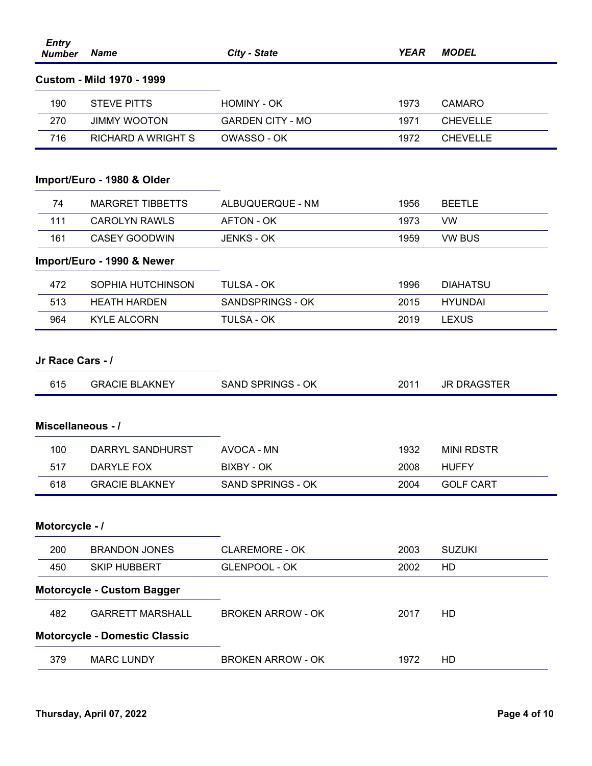| <b>Entry</b><br><b>Number</b> | <b>Name</b>                          | City - State             | <b>YEAR</b> | <b>MODEL</b>       |
|-------------------------------|--------------------------------------|--------------------------|-------------|--------------------|
|                               | <b>Custom - Mild 1970 - 1999</b>     |                          |             |                    |
| 190                           | <b>STEVE PITTS</b>                   | <b>HOMINY - OK</b>       | 1973        | <b>CAMARO</b>      |
| 270                           | <b>JIMMY WOOTON</b>                  | <b>GARDEN CITY - MO</b>  | 1971        | <b>CHEVELLE</b>    |
| 716                           | <b>RICHARD A WRIGHT S</b>            | OWASSO - OK              | 1972        | <b>CHEVELLE</b>    |
|                               |                                      |                          |             |                    |
|                               | Import/Euro - 1980 & Older           |                          |             |                    |
| 74                            | <b>MARGRET TIBBETTS</b>              | ALBUQUERQUE - NM         | 1956        | <b>BEETLE</b>      |
| 111                           | <b>CAROLYN RAWLS</b>                 | <b>AFTON - OK</b>        | 1973        | <b>VW</b>          |
| 161                           | <b>CASEY GOODWIN</b>                 | <b>JENKS - OK</b>        | 1959        | <b>VW BUS</b>      |
|                               | Import/Euro - 1990 & Newer           |                          |             |                    |
| 472                           | SOPHIA HUTCHINSON                    | <b>TULSA - OK</b>        | 1996        | <b>DIAHATSU</b>    |
| 513                           | <b>HEATH HARDEN</b>                  | SANDSPRINGS - OK         | 2015        | <b>HYUNDAI</b>     |
| 964                           | <b>KYLE ALCORN</b>                   | <b>TULSA - OK</b>        | 2019        | <b>LEXUS</b>       |
| Jr Race Cars - /              |                                      |                          |             |                    |
| 615                           | <b>GRACIE BLAKNEY</b>                | <b>SAND SPRINGS - OK</b> | 2011        | <b>JR DRAGSTER</b> |
| Miscellaneous - /             |                                      |                          |             |                    |
| 100                           | DARRYL SANDHURST                     | AVOCA - MN               | 1932        | <b>MINI RDSTR</b>  |
| 517                           | DARYLE FOX                           | <b>BIXBY - OK</b>        | 2008        | <b>HUFFY</b>       |
| 618                           | <b>GRACIE BLAKNEY</b>                | <b>SAND SPRINGS - OK</b> | 2004        | <b>GOLF CART</b>   |
| Motorcycle - /                |                                      |                          |             |                    |
| 200                           | <b>BRANDON JONES</b>                 | <b>CLAREMORE - OK</b>    | 2003        | <b>SUZUKI</b>      |
| 450                           | <b>SKIP HUBBERT</b>                  | <b>GLENPOOL - OK</b>     | 2002        | HD                 |
|                               | <b>Motorcycle - Custom Bagger</b>    |                          |             |                    |
| 482                           | <b>GARRETT MARSHALL</b>              | <b>BROKEN ARROW - OK</b> | 2017        | HD                 |
|                               | <b>Motorcycle - Domestic Classic</b> |                          |             |                    |
| 379                           | <b>MARC LUNDY</b>                    | <b>BROKEN ARROW - OK</b> | 1972        | HD                 |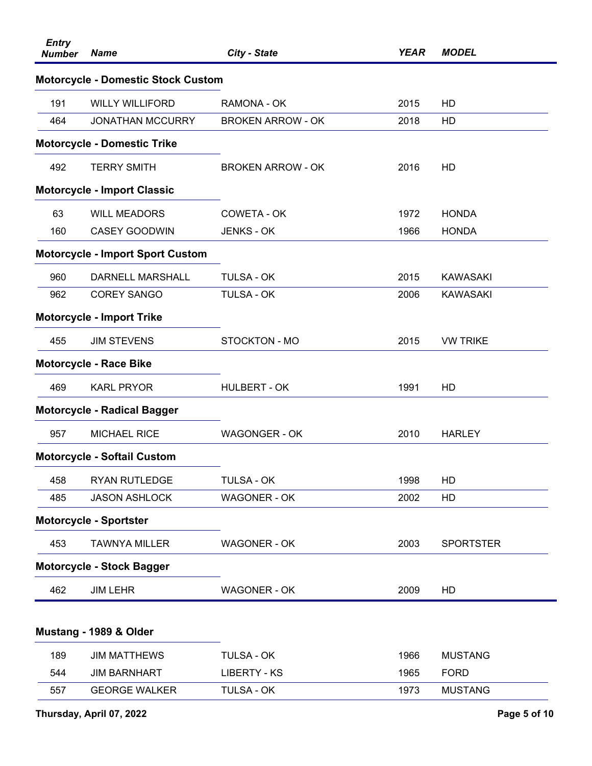| <b>Entry</b><br><b>Number</b> | <b>Name</b>                               | City - State             | <b>YEAR</b> | <b>MODEL</b>     |
|-------------------------------|-------------------------------------------|--------------------------|-------------|------------------|
|                               | <b>Motorcycle - Domestic Stock Custom</b> |                          |             |                  |
| 191                           | <b>WILLY WILLIFORD</b>                    | RAMONA - OK              | 2015        | HD               |
| 464                           | <b>JONATHAN MCCURRY</b>                   | <b>BROKEN ARROW - OK</b> | 2018        | HD               |
|                               | <b>Motorcycle - Domestic Trike</b>        |                          |             |                  |
| 492                           | <b>TERRY SMITH</b>                        | <b>BROKEN ARROW - OK</b> | 2016        | HD               |
|                               | <b>Motorcycle - Import Classic</b>        |                          |             |                  |
| 63                            | <b>WILL MEADORS</b>                       | COWETA - OK              | 1972        | <b>HONDA</b>     |
| 160                           | <b>CASEY GOODWIN</b>                      | <b>JENKS - OK</b>        | 1966        | <b>HONDA</b>     |
|                               | <b>Motorcycle - Import Sport Custom</b>   |                          |             |                  |
| 960                           | DARNELL MARSHALL                          | <b>TULSA - OK</b>        | 2015        | <b>KAWASAKI</b>  |
| 962                           | <b>COREY SANGO</b>                        | <b>TULSA - OK</b>        | 2006        | <b>KAWASAKI</b>  |
|                               | <b>Motorcycle - Import Trike</b>          |                          |             |                  |
| 455                           | <b>JIM STEVENS</b>                        | <b>STOCKTON - MO</b>     | 2015        | <b>VW TRIKE</b>  |
|                               | <b>Motorcycle - Race Bike</b>             |                          |             |                  |
| 469                           | <b>KARL PRYOR</b>                         | <b>HULBERT - OK</b>      | 1991        | HD               |
|                               | <b>Motorcycle - Radical Bagger</b>        |                          |             |                  |
| 957                           | <b>MICHAEL RICE</b>                       | <b>WAGONGER - OK</b>     | 2010        | <b>HARLEY</b>    |
|                               | <b>Motorcycle - Softail Custom</b>        |                          |             |                  |
| 458                           | <b>RYAN RUTLEDGE</b>                      | <b>TULSA - OK</b>        | 1998        | HD               |
| 485                           | <b>JASON ASHLOCK</b>                      | <b>WAGONER - OK</b>      | 2002        | HD               |
|                               | <b>Motorcycle - Sportster</b>             |                          |             |                  |
| 453                           | <b>TAWNYA MILLER</b>                      | <b>WAGONER - OK</b>      | 2003        | <b>SPORTSTER</b> |
|                               | <b>Motorcycle - Stock Bagger</b>          |                          |             |                  |
| 462                           | <b>JIM LEHR</b>                           | <b>WAGONER - OK</b>      | 2009        | HD               |
|                               |                                           |                          |             |                  |
|                               | Mustang - 1989 & Older                    |                          |             |                  |
| 189                           | <b>JIM MATTHEWS</b>                       | <b>TULSA - OK</b>        | 1966        | <b>MUSTANG</b>   |
| 544                           | <b>JIM BARNHART</b>                       | <b>LIBERTY - KS</b>      | 1965        | <b>FORD</b>      |
| 557                           | <b>GEORGE WALKER</b>                      | TULSA - OK               | 1973        | <b>MUSTANG</b>   |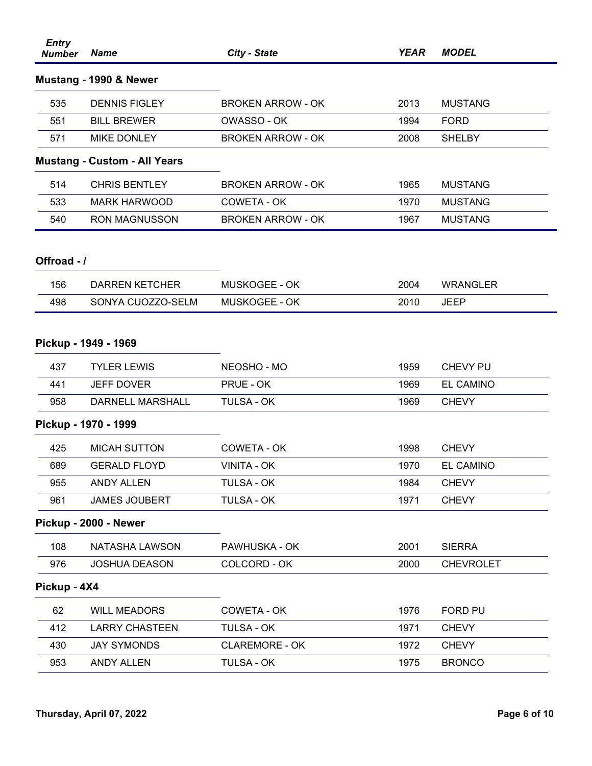| <b>Entry</b><br><b>Number</b> | <b>Name</b>                         | City - State             | <b>YEAR</b> | <b>MODEL</b>     |
|-------------------------------|-------------------------------------|--------------------------|-------------|------------------|
|                               | Mustang - 1990 & Newer              |                          |             |                  |
| 535                           | <b>DENNIS FIGLEY</b>                | <b>BROKEN ARROW - OK</b> | 2013        | <b>MUSTANG</b>   |
| 551                           | <b>BILL BREWER</b>                  | OWASSO - OK              | 1994        | <b>FORD</b>      |
| 571                           | <b>MIKE DONLEY</b>                  | <b>BROKEN ARROW - OK</b> | 2008        | <b>SHELBY</b>    |
|                               | <b>Mustang - Custom - All Years</b> |                          |             |                  |
| 514                           | <b>CHRIS BENTLEY</b>                | <b>BROKEN ARROW - OK</b> | 1965        | <b>MUSTANG</b>   |
| 533                           | <b>MARK HARWOOD</b>                 | COWETA - OK              | 1970        | <b>MUSTANG</b>   |
| 540                           | <b>RON MAGNUSSON</b>                | <b>BROKEN ARROW - OK</b> | 1967        | <b>MUSTANG</b>   |
|                               |                                     |                          |             |                  |
| Offroad - /                   |                                     |                          |             |                  |
| 156                           | <b>DARREN KETCHER</b>               | MUSKOGEE - OK            | 2004        | <b>WRANGLER</b>  |
| 498                           | SONYA CUOZZO-SELM                   | MUSKOGEE - OK            | 2010        | <b>JEEP</b>      |
|                               | Pickup - 1949 - 1969                |                          |             |                  |
| 437                           | <b>TYLER LEWIS</b>                  | NEOSHO - MO              | 1959        | CHEVY PU         |
| 441                           | <b>JEFF DOVER</b>                   | PRUE - OK                | 1969        | <b>EL CAMINO</b> |
| 958                           | <b>DARNELL MARSHALL</b>             | <b>TULSA - OK</b>        | 1969        | <b>CHEVY</b>     |
|                               |                                     |                          |             |                  |
|                               | Pickup - 1970 - 1999                |                          |             |                  |
| 425                           | <b>MICAH SUTTON</b>                 | COWETA - OK              | 1998        | <b>CHEVY</b>     |
| 689                           | <b>GERALD FLOYD</b>                 | <b>VINITA - OK</b>       | 1970        | <b>EL CAMINO</b> |
| 955                           | <b>ANDY ALLEN</b>                   | TULSA - OK               | 1984        | <b>CHEVY</b>     |
| 961                           | <b>JAMES JOUBERT</b>                | TULSA - OK               | 1971        | <b>CHEVY</b>     |
|                               | Pickup - 2000 - Newer               |                          |             |                  |
| 108                           | NATASHA LAWSON                      | PAWHUSKA - OK            | 2001        | <b>SIERRA</b>    |
| 976                           | <b>JOSHUA DEASON</b>                | COLCORD - OK             | 2000        | <b>CHEVROLET</b> |
| Pickup - 4X4                  |                                     |                          |             |                  |
| 62                            | <b>WILL MEADORS</b>                 | COWETA - OK              | 1976        | FORD PU          |
| 412                           | <b>LARRY CHASTEEN</b>               | <b>TULSA - OK</b>        | 1971        | <b>CHEVY</b>     |
| 430                           | <b>JAY SYMONDS</b>                  | <b>CLAREMORE - OK</b>    | 1972        | <b>CHEVY</b>     |
| 953                           | ANDY ALLEN                          | <b>TULSA - OK</b>        | 1975        | <b>BRONCO</b>    |
|                               |                                     |                          |             |                  |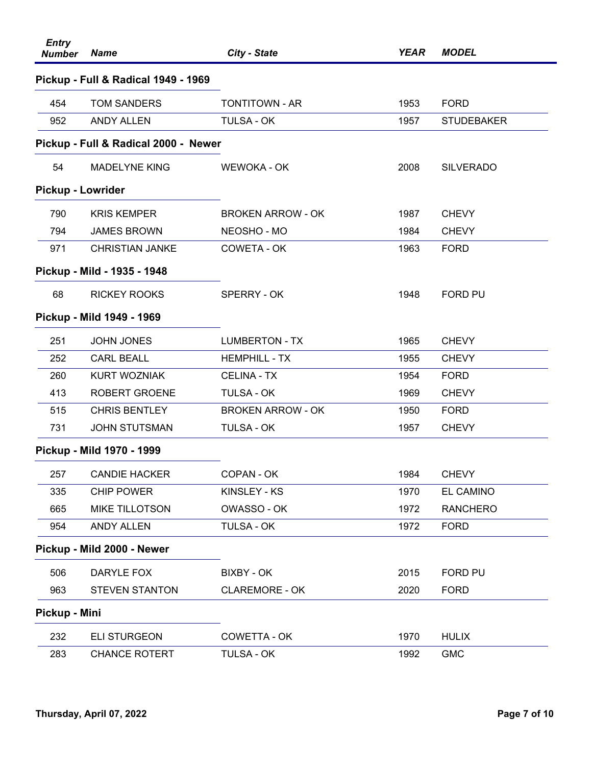| <b>Entry</b><br><b>Number</b> | <b>Name</b>                          | City - State             | <b>YEAR</b> | <b>MODEL</b>      |
|-------------------------------|--------------------------------------|--------------------------|-------------|-------------------|
|                               | Pickup - Full & Radical 1949 - 1969  |                          |             |                   |
| 454                           | <b>TOM SANDERS</b>                   | <b>TONTITOWN - AR</b>    | 1953        | <b>FORD</b>       |
| 952                           | <b>ANDY ALLEN</b>                    | <b>TULSA - OK</b>        | 1957        | <b>STUDEBAKER</b> |
|                               | Pickup - Full & Radical 2000 - Newer |                          |             |                   |
| 54                            | <b>MADELYNE KING</b>                 | WEWOKA - OK              | 2008        | <b>SILVERADO</b>  |
| Pickup - Lowrider             |                                      |                          |             |                   |
| 790                           | <b>KRIS KEMPER</b>                   | <b>BROKEN ARROW - OK</b> | 1987        | <b>CHEVY</b>      |
| 794                           | <b>JAMES BROWN</b>                   | NEOSHO - MO              | 1984        | <b>CHEVY</b>      |
| 971                           | <b>CHRISTIAN JANKE</b>               | COWETA - OK              | 1963        | <b>FORD</b>       |
|                               | Pickup - Mild - 1935 - 1948          |                          |             |                   |
| 68                            | <b>RICKEY ROOKS</b>                  | SPERRY - OK              | 1948        | FORD PU           |
|                               | Pickup - Mild 1949 - 1969            |                          |             |                   |
| 251                           | <b>JOHN JONES</b>                    | <b>LUMBERTON - TX</b>    | 1965        | <b>CHEVY</b>      |
| 252                           | <b>CARL BEALL</b>                    | <b>HEMPHILL - TX</b>     | 1955        | <b>CHEVY</b>      |
| 260                           | <b>KURT WOZNIAK</b>                  | <b>CELINA - TX</b>       | 1954        | <b>FORD</b>       |
| 413                           | <b>ROBERT GROENE</b>                 | <b>TULSA - OK</b>        | 1969        | <b>CHEVY</b>      |
| 515                           | <b>CHRIS BENTLEY</b>                 | <b>BROKEN ARROW - OK</b> | 1950        | <b>FORD</b>       |
| 731                           | <b>JOHN STUTSMAN</b>                 | <b>TULSA - OK</b>        | 1957        | <b>CHEVY</b>      |
|                               | Pickup - Mild 1970 - 1999            |                          |             |                   |
| 257                           | <b>CANDIE HACKER</b>                 | <b>COPAN - OK</b>        | 1984        | <b>CHEVY</b>      |
| 335                           | <b>CHIP POWER</b>                    | KINSLEY - KS             | 1970        | EL CAMINO         |
| 665                           | <b>MIKE TILLOTSON</b>                | OWASSO - OK              | 1972        | <b>RANCHERO</b>   |
| 954                           | <b>ANDY ALLEN</b>                    | <b>TULSA - OK</b>        | 1972        | <b>FORD</b>       |
|                               | Pickup - Mild 2000 - Newer           |                          |             |                   |
| 506                           | DARYLE FOX                           | <b>BIXBY - OK</b>        | 2015        | <b>FORD PU</b>    |
| 963                           | <b>STEVEN STANTON</b>                | <b>CLAREMORE - OK</b>    | 2020        | <b>FORD</b>       |
| Pickup - Mini                 |                                      |                          |             |                   |
| 232                           | <b>ELI STURGEON</b>                  | COWETTA - OK             | 1970        | <b>HULIX</b>      |
| 283                           | <b>CHANCE ROTERT</b>                 | TULSA - OK               | 1992        | <b>GMC</b>        |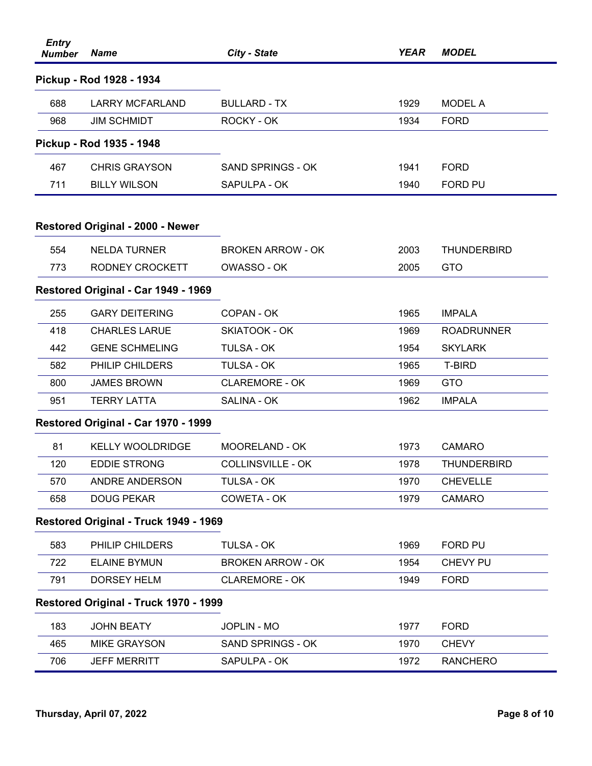| <b>Entry</b><br><b>Number</b> | <b>Name</b>                             | <b>City - State</b>      | <b>YEAR</b> | <b>MODEL</b>       |
|-------------------------------|-----------------------------------------|--------------------------|-------------|--------------------|
|                               | Pickup - Rod 1928 - 1934                |                          |             |                    |
| 688                           | <b>LARRY MCFARLAND</b>                  | <b>BULLARD - TX</b>      | 1929        | <b>MODEL A</b>     |
| 968                           | <b>JIM SCHMIDT</b>                      | ROCKY - OK               | 1934        | <b>FORD</b>        |
|                               | Pickup - Rod 1935 - 1948                |                          |             |                    |
| 467                           | <b>CHRIS GRAYSON</b>                    | SAND SPRINGS - OK        | 1941        | <b>FORD</b>        |
| 711                           | <b>BILLY WILSON</b>                     | SAPULPA - OK             | 1940        | <b>FORD PU</b>     |
|                               | <b>Restored Original - 2000 - Newer</b> |                          |             |                    |
| 554                           | <b>NELDA TURNER</b>                     | <b>BROKEN ARROW - OK</b> | 2003        | <b>THUNDERBIRD</b> |
| 773                           | RODNEY CROCKETT                         | OWASSO - OK              | 2005        | <b>GTO</b>         |
|                               | Restored Original - Car 1949 - 1969     |                          |             |                    |
| 255                           | <b>GARY DEITERING</b>                   | COPAN - OK               | 1965        | <b>IMPALA</b>      |
| 418                           | <b>CHARLES LARUE</b>                    | SKIATOOK - OK            | 1969        | <b>ROADRUNNER</b>  |
| 442                           | <b>GENE SCHMELING</b>                   | <b>TULSA - OK</b>        | 1954        | <b>SKYLARK</b>     |
| 582                           | PHILIP CHILDERS                         | <b>TULSA - OK</b>        | 1965        | T-BIRD             |
| 800                           | <b>JAMES BROWN</b>                      | <b>CLAREMORE - OK</b>    | 1969        | <b>GTO</b>         |
| 951                           | <b>TERRY LATTA</b>                      | <b>SALINA - OK</b>       | 1962        | <b>IMPALA</b>      |
|                               | Restored Original - Car 1970 - 1999     |                          |             |                    |
| 81                            | <b>KELLY WOOLDRIDGE</b>                 | <b>MOORELAND - OK</b>    | 1973        | <b>CAMARO</b>      |
| 120                           | <b>EDDIE STRONG</b>                     | <b>COLLINSVILLE - OK</b> | 1978        | <b>THUNDERBIRD</b> |
| 570                           | ANDRE ANDERSON                          | <b>TULSA - OK</b>        | 1970        | <b>CHEVELLE</b>    |
| 658                           | <b>DOUG PEKAR</b>                       | COWETA - OK              | 1979        | <b>CAMARO</b>      |
|                               | Restored Original - Truck 1949 - 1969   |                          |             |                    |
| 583                           | PHILIP CHILDERS                         | <b>TULSA - OK</b>        | 1969        | FORD PU            |
| 722                           | <b>ELAINE BYMUN</b>                     | <b>BROKEN ARROW - OK</b> | 1954        | <b>CHEVY PU</b>    |
| 791                           | <b>DORSEY HELM</b>                      | <b>CLAREMORE - OK</b>    | 1949        | <b>FORD</b>        |
|                               | Restored Original - Truck 1970 - 1999   |                          |             |                    |
| 183                           | <b>JOHN BEATY</b>                       | <b>JOPLIN - MO</b>       | 1977        | <b>FORD</b>        |
| 465                           | <b>MIKE GRAYSON</b>                     | SAND SPRINGS - OK        | 1970        | <b>CHEVY</b>       |
| 706                           | <b>JEFF MERRITT</b>                     | SAPULPA - OK             | 1972        | <b>RANCHERO</b>    |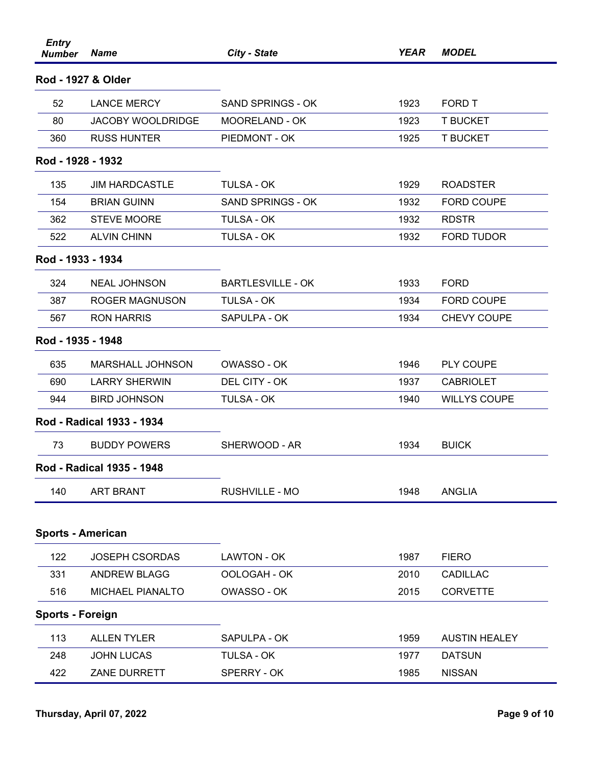| <b>Entry</b><br><b>Number</b> | <b>Name</b>               | City - State             | <b>YEAR</b> | <b>MODEL</b>         |
|-------------------------------|---------------------------|--------------------------|-------------|----------------------|
| Rod - 1927 & Older            |                           |                          |             |                      |
| 52                            | <b>LANCE MERCY</b>        | SAND SPRINGS - OK        | 1923        | FORD T               |
| 80                            | <b>JACOBY WOOLDRIDGE</b>  | MOORELAND - OK           | 1923        | <b>T BUCKET</b>      |
| 360                           | <b>RUSS HUNTER</b>        | PIEDMONT - OK            | 1925        | <b>T BUCKET</b>      |
| Rod - 1928 - 1932             |                           |                          |             |                      |
| 135                           | <b>JIM HARDCASTLE</b>     | <b>TULSA - OK</b>        | 1929        | <b>ROADSTER</b>      |
| 154                           | <b>BRIAN GUINN</b>        | SAND SPRINGS - OK        | 1932        | <b>FORD COUPE</b>    |
| 362                           | <b>STEVE MOORE</b>        | <b>TULSA - OK</b>        | 1932        | <b>RDSTR</b>         |
| 522                           | <b>ALVIN CHINN</b>        | <b>TULSA - OK</b>        | 1932        | <b>FORD TUDOR</b>    |
| Rod - 1933 - 1934             |                           |                          |             |                      |
| 324                           | <b>NEAL JOHNSON</b>       | <b>BARTLESVILLE - OK</b> | 1933        | <b>FORD</b>          |
| 387                           | <b>ROGER MAGNUSON</b>     | <b>TULSA - OK</b>        | 1934        | <b>FORD COUPE</b>    |
| 567                           | <b>RON HARRIS</b>         | SAPULPA - OK             | 1934        | <b>CHEVY COUPE</b>   |
| Rod - 1935 - 1948             |                           |                          |             |                      |
| 635                           | <b>MARSHALL JOHNSON</b>   | OWASSO - OK              | 1946        | PLY COUPE            |
| 690                           | <b>LARRY SHERWIN</b>      | DEL CITY - OK            | 1937        | <b>CABRIOLET</b>     |
| 944                           | <b>BIRD JOHNSON</b>       | <b>TULSA - OK</b>        | 1940        | <b>WILLYS COUPE</b>  |
|                               | Rod - Radical 1933 - 1934 |                          |             |                      |
| 73                            | <b>BUDDY POWERS</b>       | SHERWOOD - AR            | 1934        | <b>BUICK</b>         |
|                               | Rod - Radical 1935 - 1948 |                          |             |                      |
| 140                           | <b>ART BRANT</b>          | RUSHVILLE - MO           | 1948        | <b>ANGLIA</b>        |
| <b>Sports - American</b>      |                           |                          |             |                      |
| 122                           | <b>JOSEPH CSORDAS</b>     | LAWTON - OK              | 1987        | <b>FIERO</b>         |
| 331                           | <b>ANDREW BLAGG</b>       | OOLOGAH - OK             | 2010        | CADILLAC             |
| 516                           | MICHAEL PIANALTO          | OWASSO - OK              | 2015        | <b>CORVETTE</b>      |
| <b>Sports - Foreign</b>       |                           |                          |             |                      |
| 113                           | <b>ALLEN TYLER</b>        | SAPULPA - OK             | 1959        | <b>AUSTIN HEALEY</b> |
| 248                           | <b>JOHN LUCAS</b>         | TULSA - OK               | 1977        | <b>DATSUN</b>        |
| 422                           | ZANE DURRETT              | SPERRY - OK              | 1985        | <b>NISSAN</b>        |
|                               |                           |                          |             |                      |